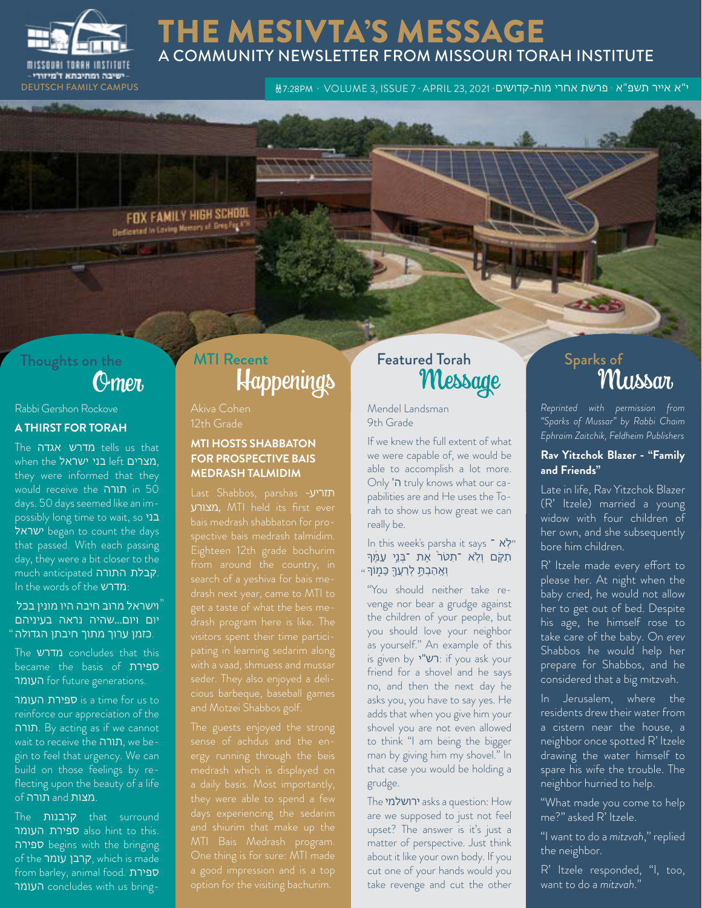

### THE MESIVTA'S MESSAGE A COMMUNITY NEWSLETTER FROM MISSOURI TORAH INSTITUTE

· VOLUME 3, ISSUE 7 · APRIL 23, 2021 · י"א אייר תשפ"א · פרשת אחרי מות-קדושים PM7:28 CAMPUS FAMILY DEUTSCH

FOX FAMILY HIGH SCHOOL **Designed In Loving Memory of Greenley AT** 

# Thoughts on the

Rabbi Gershon Rockove

#### **A THIRST FOR TORAH**

The אגדה מדרש tells us that when the בני ישראל, they were informed that they would receive the תורה in 50 days. 50 days seemed like an impossibly long time to wait, so בני ישראל began to count the days that passed. With each passing day, they were a bit closer to the .קבלת התורה much anticipated In the words of the מדרש:

#### וישראל מרוב חיבה היו מונין בכל "יום ויום...שהיה נראה בעיניהם .כזמן ערוך מתוך חיבתן הגדולה "

The מדרש concludes that this became the basis of ספירת העומר for future generations.

ה ספירת העומר is a time for us to reinforce our appreciation of the תורה. By acting as if we cannot wait to receive the תורה, we begin to feel that urgency. We can build on those feelings by reflecting upon the beauty of a life .מצות and תורה of

The קרבנות that surround also hint to this. ספירה begins with the bringing of the עומר קרבן, which is made from barley, animal food. ספירת העומר concludes with us bring-

# Omer Happenings MTI Recent Featured Torah

Akiva Cohen 12th Grade

### **MTI HOSTS SHABBATON FOR PROSPECTIVE BAIS MEDRASH TALMIDIM**

Last Shabbos, parshas -תזריע מצורע, MTI held its first ever get a taste of what the beis me-

sense of achdus and the en-One thing is for sure: MTI made

Mendel Landsman 9th Grade

If we knew the full extent of what we were capable of, we would be able to accomplish a lot more. Only 'ה truly knows what our capabilities are and He uses the Torah to show us how great we can really be.

### In this week's parsha it says ־ א ֽלֹ " תִקָּם וְלָא ־תַטֹר<sup>י</sup> אֶת ־בְּנֵי עַמֵּך  $\epsilon$ וְאֶהַבְתֶּ לְרֵעֲךָ כָּמֶוֹךָ

"You should neither take revenge nor bear a grudge against the children of your people, but you should love your neighbor as yourself." An example of this is given by י"רש: if you ask your friend for a shovel and he says no, and then the next day he asks you, you have to say yes. He adds that when you give him your shovel you are not even allowed to think "I am being the bigger man by giving him my shovel." In that case you would be holding a grudge.

The ירושלמי asks a question: How are we supposed to just not feel upset? The answer is it's just a matter of perspective. Just think about it like your own body. If you cut one of your hands would you take revenge and cut the other

# ed Torah Sparks of Sparks of Mussar

*Reprinted with permission from "Sparks of Mussar" by Rabbi Chaim Ephraim Zaitchik, Feldheim Publishers*

### **Rav Yitzchok Blazer - "Family and Friends"**

Late in life, Rav Yitzchok Blazer (R' Itzele) married a young widow with four children of her own, and she subsequently bore him children.

R' Itzele made every effort to please her. At night when the baby cried, he would not allow her to get out of bed. Despite his age, he himself rose to take care of the baby. On *erev*  Shabbos he would help her prepare for Shabbos, and he considered that a big mitzvah.

In Jerusalem, where the residents drew their water from a cistern near the house, a neighbor once spotted R' Itzele drawing the water himself to spare his wife the trouble. The neighbor hurried to help.

"What made you come to help me?" asked R' Itzele.

"I want to do a *mitzvah*," replied the neighbor.

R' Itzele responded, "I, too, want to do a *mitzvah*."